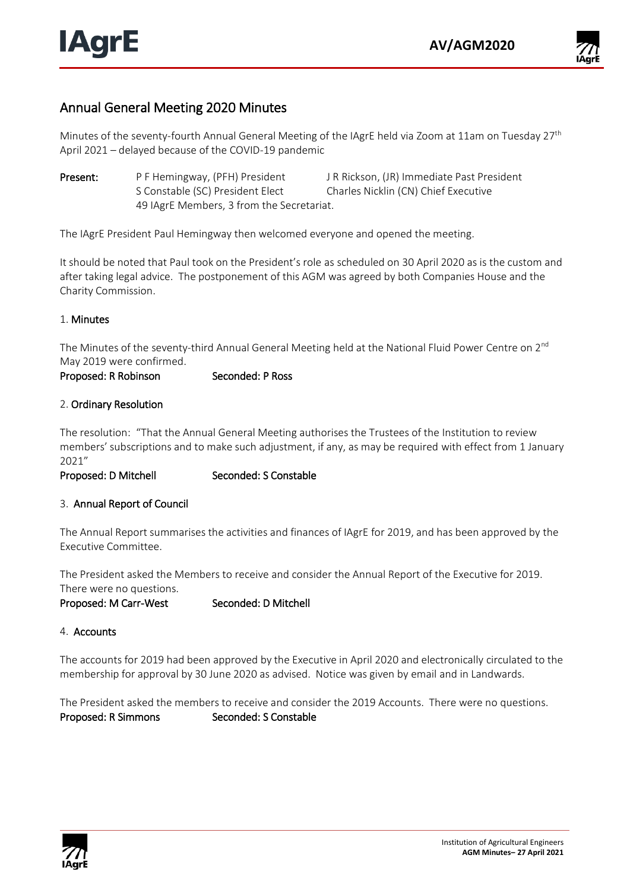

# Annual General Meeting 2020 Minutes

Minutes of the seventy-fourth Annual General Meeting of the IAgrE held via Zoom at 11am on Tuesday 27<sup>th</sup> April 2021 – delayed because of the COVID-19 pandemic

Present: P F Hemingway, (PFH) President J R Rickson, (JR) Immediate Past President S Constable (SC) President Elect Charles Nicklin (CN) Chief Executive 49 IAgrE Members, 3 from the Secretariat.

The IAgrE President Paul Hemingway then welcomed everyone and opened the meeting.

It should be noted that Paul took on the President's role as scheduled on 30 April 2020 as is the custom and after taking legal advice. The postponement of this AGM was agreed by both Companies House and the Charity Commission.

### 1. Minutes

The Minutes of the seventy-third Annual General Meeting held at the National Fluid Power Centre on 2<sup>nd</sup> May 2019 were confirmed.

Proposed: R Robinson Seconded: P Ross

#### 2. Ordinary Resolution

The resolution: "That the Annual General Meeting authorises the Trustees of the Institution to review members' subscriptions and to make such adjustment, if any, as may be required with effect from 1 January 2021"

Proposed: D Mitchell Seconded: S Constable

### 3. Annual Report of Council

The Annual Report summarises the activities and finances of IAgrE for 2019, and has been approved by the Executive Committee.

The President asked the Members to receive and consider the Annual Report of the Executive for 2019. There were no questions.

Proposed: M Carr-West Seconded: D Mitchell

4. Accounts

The accounts for 2019 had been approved by the Executive in April 2020 and electronically circulated to the membership for approval by 30 June 2020 as advised. Notice was given by email and in Landwards.

The President asked the members to receive and consider the 2019 Accounts. There were no questions. Proposed: R Simmons Seconded: S Constable